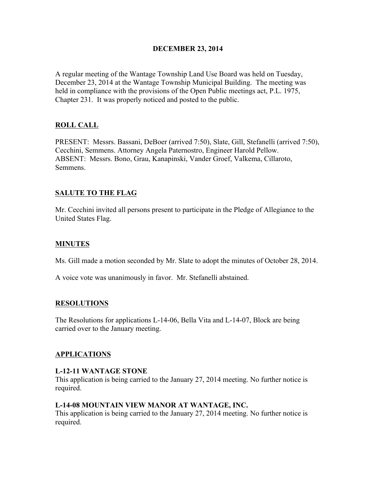## DECEMBER 23, 2014

A regular meeting of the Wantage Township Land Use Board was held on Tuesday, December 23, 2014 at the Wantage Township Municipal Building. The meeting was held in compliance with the provisions of the Open Public meetings act, P.L. 1975, Chapter 231. It was properly noticed and posted to the public.

# ROLL CALL

PRESENT: Messrs. Bassani, DeBoer (arrived 7:50), Slate, Gill, Stefanelli (arrived 7:50), Cecchini, Semmens. Attorney Angela Paternostro, Engineer Harold Pellow. ABSENT: Messrs. Bono, Grau, Kanapinski, Vander Groef, Valkema, Cillaroto, Semmens.

# SALUTE TO THE FLAG

Mr. Cecchini invited all persons present to participate in the Pledge of Allegiance to the United States Flag.

# MINUTES

Ms. Gill made a motion seconded by Mr. Slate to adopt the minutes of October 28, 2014.

A voice vote was unanimously in favor. Mr. Stefanelli abstained.

## RESOLUTIONS

The Resolutions for applications L-14-06, Bella Vita and L-14-07, Block are being carried over to the January meeting.

## APPLICATIONS

## L-12-11 WANTAGE STONE

This application is being carried to the January 27, 2014 meeting. No further notice is required.

## L-14-08 MOUNTAIN VIEW MANOR AT WANTAGE, INC.

This application is being carried to the January 27, 2014 meeting. No further notice is required.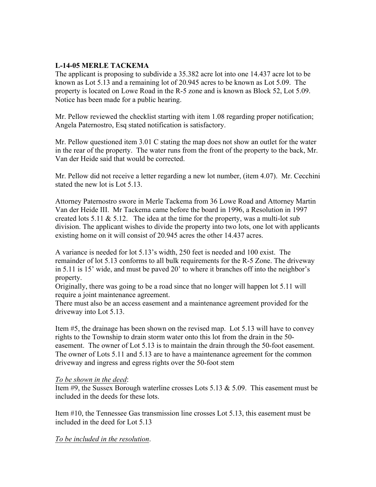# L-14-05 MERLE TACKEMA

The applicant is proposing to subdivide a 35.382 acre lot into one 14.437 acre lot to be known as Lot 5.13 and a remaining lot of 20.945 acres to be known as Lot 5.09. The property is located on Lowe Road in the R-5 zone and is known as Block 52, Lot 5.09. Notice has been made for a public hearing.

Mr. Pellow reviewed the checklist starting with item 1.08 regarding proper notification; Angela Paternostro, Esq stated notification is satisfactory.

Mr. Pellow questioned item 3.01 C stating the map does not show an outlet for the water in the rear of the property. The water runs from the front of the property to the back, Mr. Van der Heide said that would be corrected.

Mr. Pellow did not receive a letter regarding a new lot number, (item 4.07). Mr. Cecchini stated the new lot is Lot 5.13.

Attorney Paternostro swore in Merle Tackema from 36 Lowe Road and Attorney Martin Van der Heide III. Mr Tackema came before the board in 1996, a Resolution in 1997 created lots  $5.11 \& 5.12$ . The idea at the time for the property, was a multi-lot sub division. The applicant wishes to divide the property into two lots, one lot with applicants existing home on it will consist of 20.945 acres the other 14.437 acres.

A variance is needed for lot 5.13's width, 250 feet is needed and 100 exist. The remainder of lot 5.13 conforms to all bulk requirements for the R-5 Zone. The driveway in 5.11 is 15' wide, and must be paved 20' to where it branches off into the neighbor's property.

Originally, there was going to be a road since that no longer will happen lot 5.11 will require a joint maintenance agreement.

There must also be an access easement and a maintenance agreement provided for the driveway into Lot 5.13.

Item #5, the drainage has been shown on the revised map. Lot 5.13 will have to convey rights to the Township to drain storm water onto this lot from the drain in the 50 easement. The owner of Lot 5.13 is to maintain the drain through the 50-foot easement. The owner of Lots 5.11 and 5.13 are to have a maintenance agreement for the common driveway and ingress and egress rights over the 50-foot stem

## *To be shown in the deed*:

Item #9, the Sussex Borough waterline crosses Lots 5.13 & 5.09. This easement must be included in the deeds for these lots.

Item #10, the Tennessee Gas transmission line crosses Lot 5.13, this easement must be included in the deed for Lot 5.13

## *To be included in the resolution*.